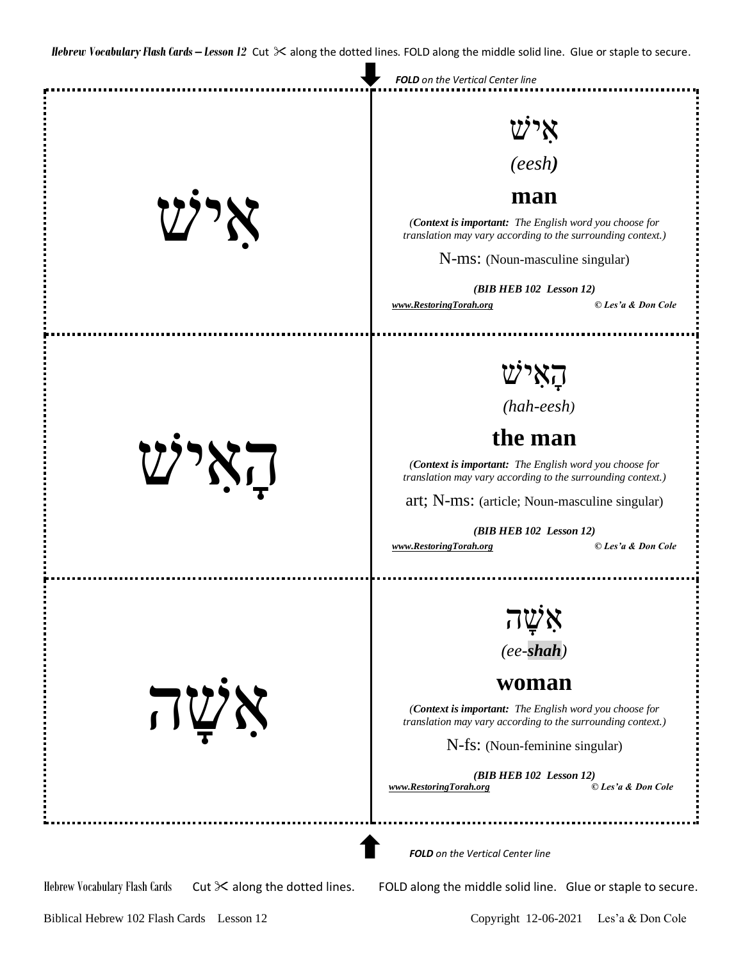

Biblical Hebrew 102 Flash Cards Lesson 12 Copyright 12-06-2021 Les'a & Don Cole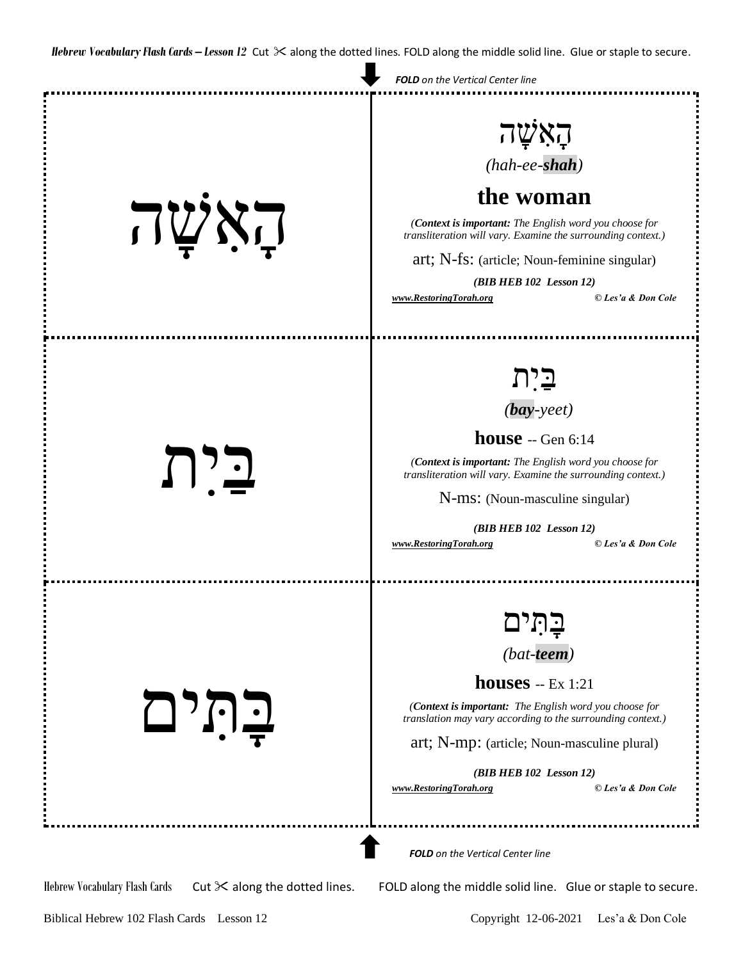

Biblical Hebrew 102 Flash Cards Lesson 12 Copyright 12-06-2021 Les'a & Don Cole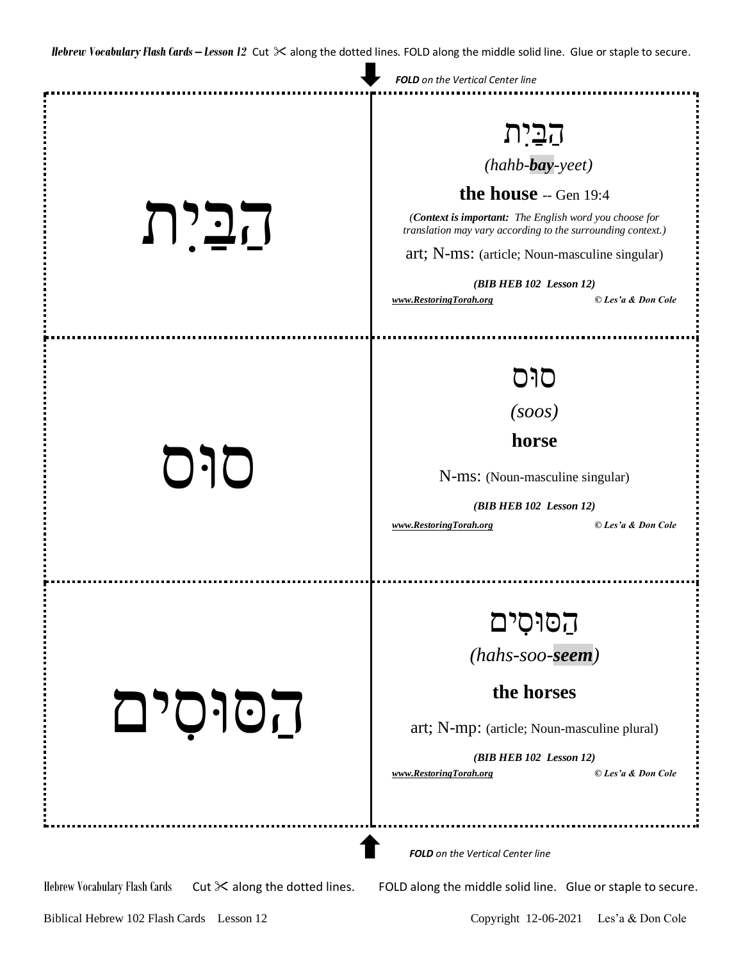|                                                                       | <b>FOLD</b> on the Vertical Center line                                                                                                                                                                                                                                                                        |
|-----------------------------------------------------------------------|----------------------------------------------------------------------------------------------------------------------------------------------------------------------------------------------------------------------------------------------------------------------------------------------------------------|
| הַבַּיִת                                                              | הַבַּיִת<br>$(hahb$ -bay-yeet)<br>the house -- Gen 19:4<br>(Context is important: The English word you choose for<br>translation may vary according to the surrounding context.)<br>art; N-ms: (article; Noun-masculine singular)<br>$(BIB HEB 102$ Lesson 12)<br>© Les'a & Don Cole<br>www.RestoringTorah.org |
| סוּס                                                                  | סוּס<br>(soos)<br>horse<br>N-ms: (Noun-masculine singular)<br>$(BIB HEB 102$ Lesson 12)<br>© Les'a & Don Cole<br>www.RestoringTorah.org                                                                                                                                                                        |
| הסוסים                                                                | הסוּסִים<br>$(hahs\text{-}soo\text{-}seem)$<br>the horses<br>art; N-mp: (article; Noun-masculine plural)<br>(BIB HEB 102 Lesson 12)<br>© Les'a & Don Cole<br>www.RestoringTorah.org                                                                                                                            |
| Hebrew Vocabulary Flash Cards<br>Cut $\times$ along the dotted lines. | <b>FOLD</b> on the Vertical Center line<br>FOLD along the middle solid line. Glue or staple to secure.                                                                                                                                                                                                         |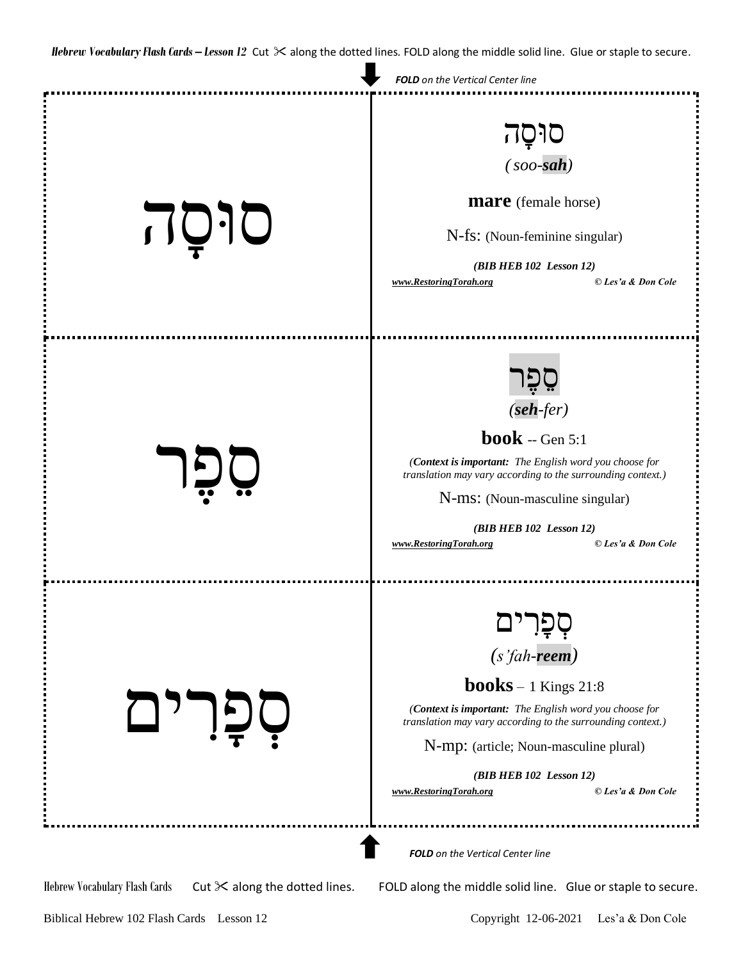

Hebrew Vocabulary Flash Cards Cut  $\geq$  along the dotted lines. FOLD along the middle solid line. Glue or staple to secure.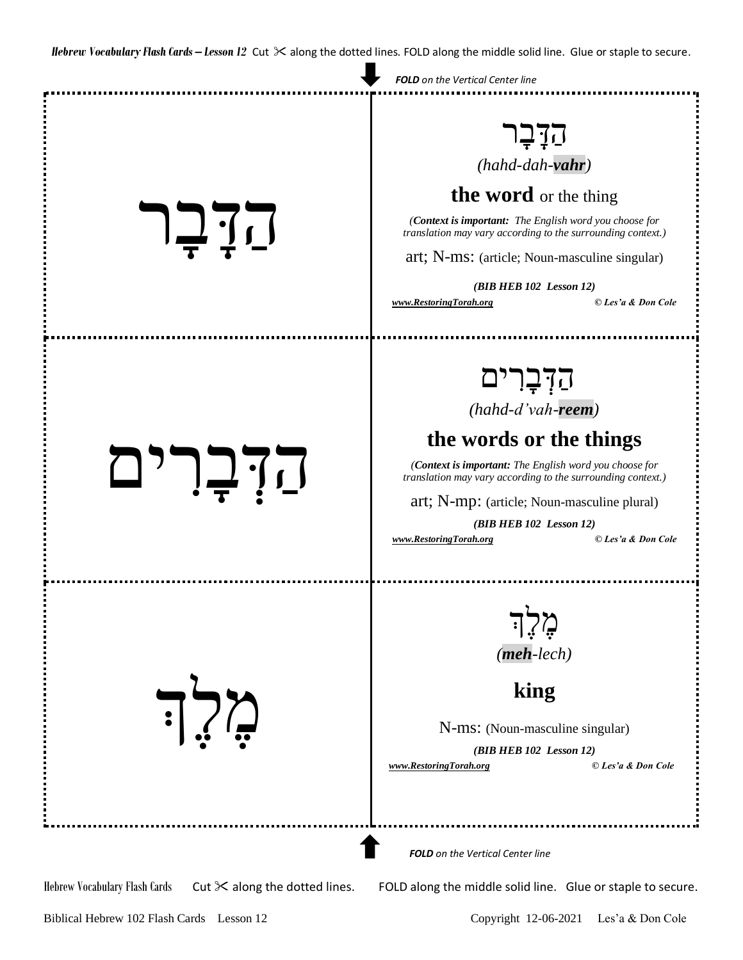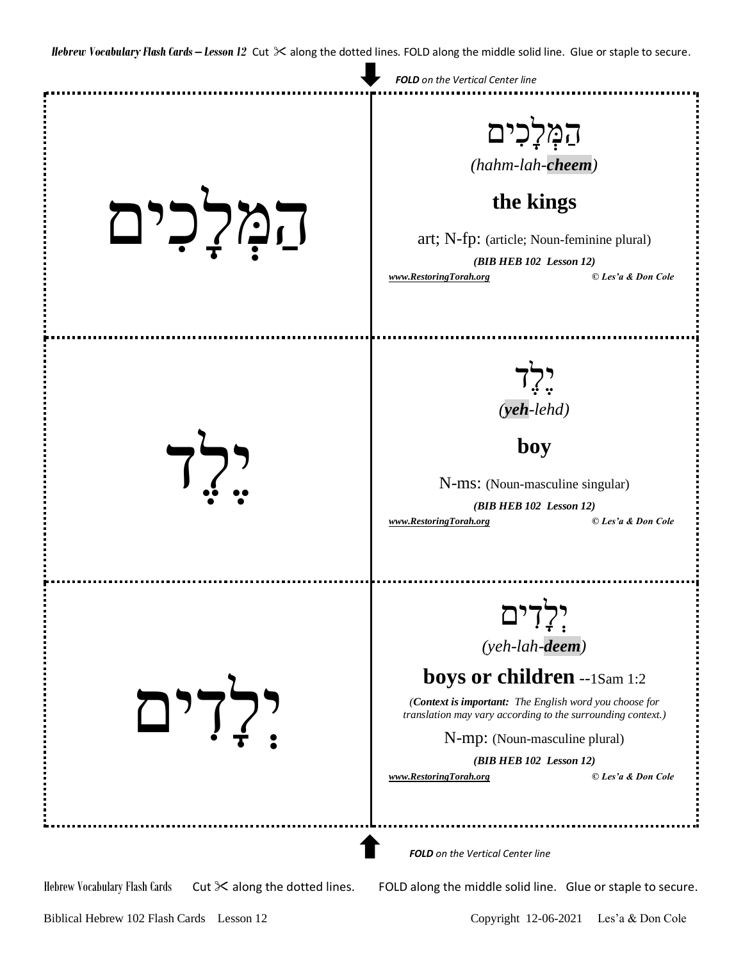